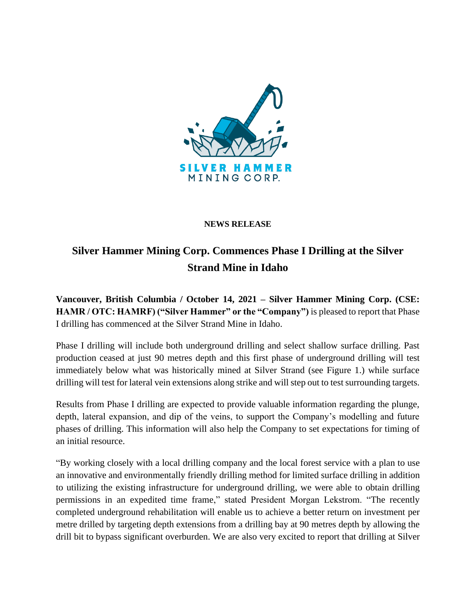

#### **NEWS RELEASE**

# **Silver Hammer Mining Corp. Commences Phase I Drilling at the Silver Strand Mine in Idaho**

**Vancouver, British Columbia / October 14, 2021 – Silver Hammer Mining Corp. (CSE: HAMR / OTC: HAMRF) ("Silver Hammer" or the "Company")** is pleased to report that Phase I drilling has commenced at the Silver Strand Mine in Idaho.

Phase I drilling will include both underground drilling and select shallow surface drilling. Past production ceased at just 90 metres depth and this first phase of underground drilling will test immediately below what was historically mined at Silver Strand (see Figure 1.) while surface drilling will test for lateral vein extensions along strike and will step out to test surrounding targets.

Results from Phase I drilling are expected to provide valuable information regarding the plunge, depth, lateral expansion, and dip of the veins, to support the Company's modelling and future phases of drilling. This information will also help the Company to set expectations for timing of an initial resource.

"By working closely with a local drilling company and the local forest service with a plan to use an innovative and environmentally friendly drilling method for limited surface drilling in addition to utilizing the existing infrastructure for underground drilling, we were able to obtain drilling permissions in an expedited time frame," stated President Morgan Lekstrom. "The recently completed underground rehabilitation will enable us to achieve a better return on investment per metre drilled by targeting depth extensions from a drilling bay at 90 metres depth by allowing the drill bit to bypass significant overburden. We are also very excited to report that drilling at Silver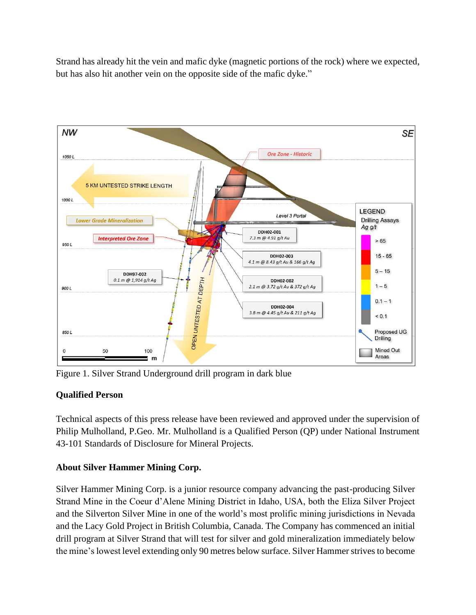Strand has already hit the vein and mafic dyke (magnetic portions of the rock) where we expected, but has also hit another vein on the opposite side of the mafic dyke."



Figure 1. Silver Strand Underground drill program in dark blue

## **Qualified Person**

Technical aspects of this press release have been reviewed and approved under the supervision of Philip Mulholland, P.Geo. Mr. Mulholland is a Qualified Person (QP) under National Instrument 43-101 Standards of Disclosure for Mineral Projects.

## **About Silver Hammer Mining Corp.**

Silver Hammer Mining Corp. is a junior resource company advancing the past-producing Silver Strand Mine in the Coeur d'Alene Mining District in Idaho, USA, both the Eliza Silver Project and the Silverton Silver Mine in one of the world's most prolific mining jurisdictions in Nevada and the Lacy Gold Project in British Columbia, Canada. The Company has commenced an initial drill program at Silver Strand that will test for silver and gold mineralization immediately below the mine's lowest level extending only 90 metres below surface. Silver Hammer strives to become